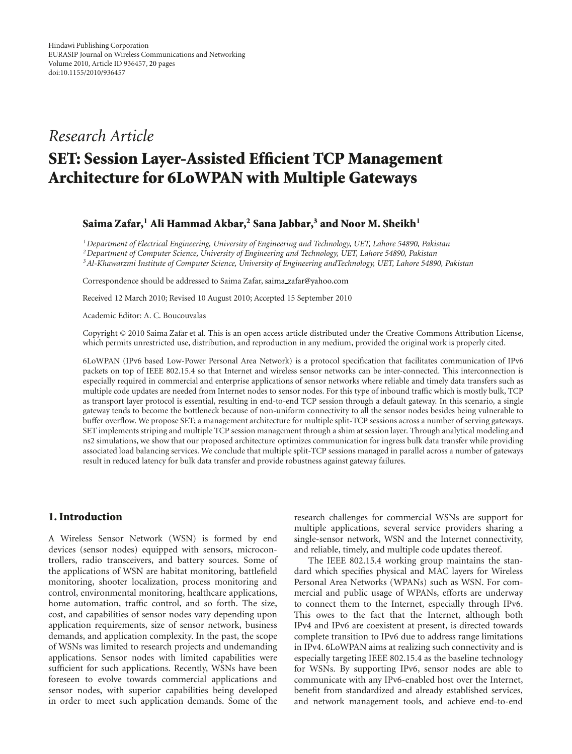# *Research Article*

# **SET: Session Layer-Assisted Efficient TCP Management Architecture for 6LoWPAN with Multiple Gateways**

#### **Saima Zafar,<sup>1</sup> Ali Hammad Akbar,<sup>2</sup> Sana Jabbar,<sup>3</sup> and Noor M. Sheikh<sup>1</sup>**

*1Department of Electrical Engineering, University of Engineering and Technology, UET, Lahore 54890, Pakistan 2Department of Computer Science, University of Engineering and Technology, UET, Lahore 54890, Pakistan 3Al-Khawarzmi Institute of Computer Science, University of Engineering andTechnology, UET, Lahore 54890, Pakistan*

Correspondence should be addressed to Saima Zafar, saima zafar@yahoo.com

Received 12 March 2010; Revised 10 August 2010; Accepted 15 September 2010

Academic Editor: A. C. Boucouvalas

Copyright © 2010 Saima Zafar et al. This is an open access article distributed under the Creative Commons Attribution License, which permits unrestricted use, distribution, and reproduction in any medium, provided the original work is properly cited.

6LoWPAN (IPv6 based Low-Power Personal Area Network) is a protocol specification that facilitates communication of IPv6 packets on top of IEEE 802.15.4 so that Internet and wireless sensor networks can be inter-connected. This interconnection is especially required in commercial and enterprise applications of sensor networks where reliable and timely data transfers such as multiple code updates are needed from Internet nodes to sensor nodes. For this type of inbound traffic which is mostly bulk, TCP as transport layer protocol is essential, resulting in end-to-end TCP session through a default gateway. In this scenario, a single gateway tends to become the bottleneck because of non-uniform connectivity to all the sensor nodes besides being vulnerable to buffer overflow. We propose SET; a management architecture for multiple split-TCP sessions across a number of serving gateways. SET implements striping and multiple TCP session management through a shim at session layer. Through analytical modeling and ns2 simulations, we show that our proposed architecture optimizes communication for ingress bulk data transfer while providing associated load balancing services. We conclude that multiple split-TCP sessions managed in parallel across a number of gateways result in reduced latency for bulk data transfer and provide robustness against gateway failures.

#### **1. Introduction**

A Wireless Sensor Network (WSN) is formed by end devices (sensor nodes) equipped with sensors, microcontrollers, radio transceivers, and battery sources. Some of the applications of WSN are habitat monitoring, battlefield monitoring, shooter localization, process monitoring and control, environmental monitoring, healthcare applications, home automation, traffic control, and so forth. The size, cost, and capabilities of sensor nodes vary depending upon application requirements, size of sensor network, business demands, and application complexity. In the past, the scope of WSNs was limited to research projects and undemanding applications. Sensor nodes with limited capabilities were sufficient for such applications. Recently, WSNs have been foreseen to evolve towards commercial applications and sensor nodes, with superior capabilities being developed in order to meet such application demands. Some of the

research challenges for commercial WSNs are support for multiple applications, several service providers sharing a single-sensor network, WSN and the Internet connectivity, and reliable, timely, and multiple code updates thereof.

The IEEE 802.15.4 working group maintains the standard which specifies physical and MAC layers for Wireless Personal Area Networks (WPANs) such as WSN. For commercial and public usage of WPANs, efforts are underway to connect them to the Internet, especially through IPv6. This owes to the fact that the Internet, although both IPv4 and IPv6 are coexistent at present, is directed towards complete transition to IPv6 due to address range limitations in IPv4. 6LoWPAN aims at realizing such connectivity and is especially targeting IEEE 802.15.4 as the baseline technology for WSNs. By supporting IPv6, sensor nodes are able to communicate with any IPv6-enabled host over the Internet, benefit from standardized and already established services, and network management tools, and achieve end-to-end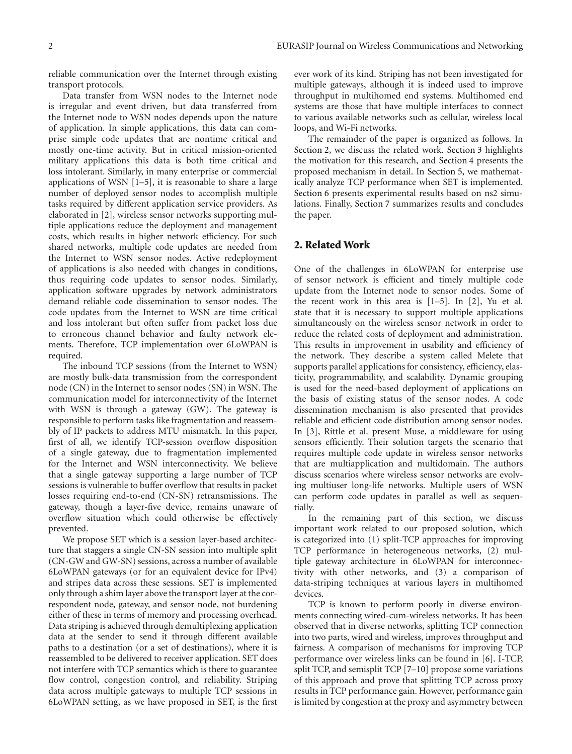reliable communication over the Internet through existing transport protocols.

Data transfer from WSN nodes to the Internet node is irregular and event driven, but data transferred from the Internet node to WSN nodes depends upon the nature of application. In simple applications, this data can comprise simple code updates that are nontime critical and mostly one-time activity. But in critical mission-oriented military applications this data is both time critical and loss intolerant. Similarly, in many enterprise or commercial applications of WSN [1–5], it is reasonable to share a large number of deployed sensor nodes to accomplish multiple tasks required by different application service providers. As elaborated in [2], wireless sensor networks supporting multiple applications reduce the deployment and management costs, which results in higher network efficiency. For such shared networks, multiple code updates are needed from the Internet to WSN sensor nodes. Active redeployment of applications is also needed with changes in conditions, thus requiring code updates to sensor nodes. Similarly, application software upgrades by network administrators demand reliable code dissemination to sensor nodes. The code updates from the Internet to WSN are time critical and loss intolerant but often suffer from packet loss due to erroneous channel behavior and faulty network elements. Therefore, TCP implementation over 6LoWPAN is required.

The inbound TCP sessions (from the Internet to WSN) are mostly bulk-data transmission from the correspondent node (CN) in the Internet to sensor nodes (SN) in WSN. The communication model for interconnectivity of the Internet with WSN is through a gateway (GW). The gateway is responsible to perform tasks like fragmentation and reassembly of IP packets to address MTU mismatch. In this paper, first of all, we identify TCP-session overflow disposition of a single gateway, due to fragmentation implemented for the Internet and WSN interconnectivity. We believe that a single gateway supporting a large number of TCP sessions is vulnerable to buffer overflow that results in packet losses requiring end-to-end (CN-SN) retransmissions. The gateway, though a layer-five device, remains unaware of overflow situation which could otherwise be effectively prevented.

We propose SET which is a session layer-based architecture that staggers a single CN-SN session into multiple split (CN-GW and GW-SN) sessions, across a number of available 6LoWPAN gateways (or for an equivalent device for IPv4) and stripes data across these sessions. SET is implemented only through a shim layer above the transport layer at the correspondent node, gateway, and sensor node, not burdening either of these in terms of memory and processing overhead. Data striping is achieved through demultiplexing application data at the sender to send it through different available paths to a destination (or a set of destinations), where it is reassembled to be delivered to receiver application. SET does not interfere with TCP semantics which is there to guarantee flow control, congestion control, and reliability. Striping data across multiple gateways to multiple TCP sessions in 6LoWPAN setting, as we have proposed in SET, is the first

ever work of its kind. Striping has not been investigated for multiple gateways, although it is indeed used to improve throughput in multihomed end systems. Multihomed end systems are those that have multiple interfaces to connect to various available networks such as cellular, wireless local loops, and Wi-Fi networks.

The remainder of the paper is organized as follows. In Section 2, we discuss the related work. Section 3 highlights the motivation for this research, and Section 4 presents the proposed mechanism in detail. In Section 5, we mathematically analyze TCP performance when SET is implemented. Section 6 presents experimental results based on ns2 simulations. Finally, Section 7 summarizes results and concludes the paper.

#### **2. Related Work**

One of the challenges in 6LoWPAN for enterprise use of sensor network is efficient and timely multiple code update from the Internet node to sensor nodes. Some of the recent work in this area is  $[1-5]$ . In  $[2]$ , Yu et al. state that it is necessary to support multiple applications simultaneously on the wireless sensor network in order to reduce the related costs of deployment and administration. This results in improvement in usability and efficiency of the network. They describe a system called Melete that supports parallel applications for consistency, efficiency, elasticity, programmability, and scalability. Dynamic grouping is used for the need-based deployment of applications on the basis of existing status of the sensor nodes. A code dissemination mechanism is also presented that provides reliable and efficient code distribution among sensor nodes. In [3], Rittle et al. present Muse, a middleware for using sensors efficiently. Their solution targets the scenario that requires multiple code update in wireless sensor networks that are multiapplication and multidomain. The authors discuss scenarios where wireless sensor networks are evolving multiuser long-life networks. Multiple users of WSN can perform code updates in parallel as well as sequentially.

In the remaining part of this section, we discuss important work related to our proposed solution, which is categorized into (1) split-TCP approaches for improving TCP performance in heterogeneous networks, (2) multiple gateway architecture in 6LoWPAN for interconnectivity with other networks, and (3) a comparison of data-striping techniques at various layers in multihomed devices.

TCP is known to perform poorly in diverse environments connecting wired-cum-wireless networks. It has been observed that in diverse networks, splitting TCP connection into two parts, wired and wireless, improves throughput and fairness. A comparison of mechanisms for improving TCP performance over wireless links can be found in [6]. I-TCP, split TCP, and semisplit TCP [7–10] propose some variations of this approach and prove that splitting TCP across proxy results in TCP performance gain. However, performance gain is limited by congestion at the proxy and asymmetry between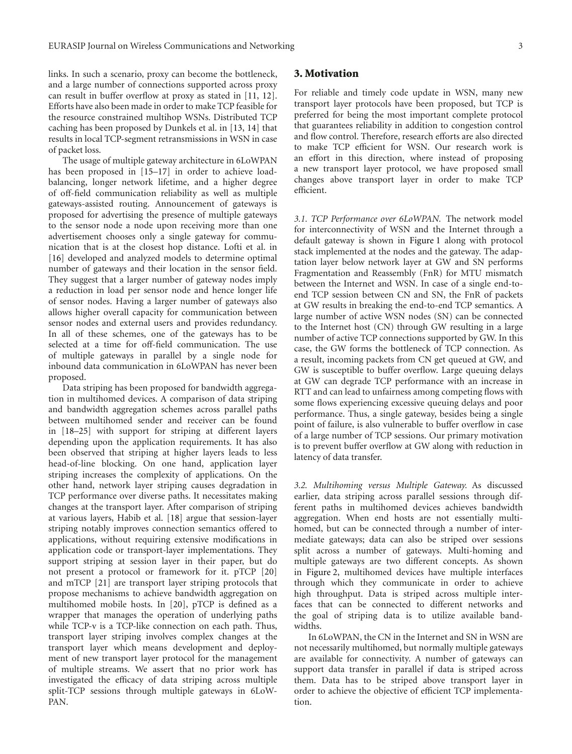links. In such a scenario, proxy can become the bottleneck, and a large number of connections supported across proxy can result in buffer overflow at proxy as stated in [11, 12]. Efforts have also been made in order to make TCP feasible for the resource constrained multihop WSNs. Distributed TCP caching has been proposed by Dunkels et al. in [13, 14] that results in local TCP-segment retransmissions in WSN in case of packet loss.

The usage of multiple gateway architecture in 6LoWPAN has been proposed in [15–17] in order to achieve loadbalancing, longer network lifetime, and a higher degree of off-field communication reliability as well as multiple gateways-assisted routing. Announcement of gateways is proposed for advertising the presence of multiple gateways to the sensor node a node upon receiving more than one advertisement chooses only a single gateway for communication that is at the closest hop distance. Lofti et al. in [16] developed and analyzed models to determine optimal number of gateways and their location in the sensor field. They suggest that a larger number of gateway nodes imply a reduction in load per sensor node and hence longer life of sensor nodes. Having a larger number of gateways also allows higher overall capacity for communication between sensor nodes and external users and provides redundancy. In all of these schemes, one of the gateways has to be selected at a time for off-field communication. The use of multiple gateways in parallel by a single node for inbound data communication in 6LoWPAN has never been proposed.

Data striping has been proposed for bandwidth aggregation in multihomed devices. A comparison of data striping and bandwidth aggregation schemes across parallel paths between multihomed sender and receiver can be found in [18–25] with support for striping at different layers depending upon the application requirements. It has also been observed that striping at higher layers leads to less head-of-line blocking. On one hand, application layer striping increases the complexity of applications. On the other hand, network layer striping causes degradation in TCP performance over diverse paths. It necessitates making changes at the transport layer. After comparison of striping at various layers, Habib et al. [18] argue that session-layer striping notably improves connection semantics offered to applications, without requiring extensive modifications in application code or transport-layer implementations. They support striping at session layer in their paper, but do not present a protocol or framework for it. pTCP [20] and mTCP [21] are transport layer striping protocols that propose mechanisms to achieve bandwidth aggregation on multihomed mobile hosts. In [20], pTCP is defined as a wrapper that manages the operation of underlying paths while TCP-v is a TCP-like connection on each path. Thus, transport layer striping involves complex changes at the transport layer which means development and deployment of new transport layer protocol for the management of multiple streams. We assert that no prior work has investigated the efficacy of data striping across multiple split-TCP sessions through multiple gateways in 6LoW-PAN.

#### **3. Motivation**

For reliable and timely code update in WSN, many new transport layer protocols have been proposed, but TCP is preferred for being the most important complete protocol that guarantees reliability in addition to congestion control and flow control. Therefore, research efforts are also directed to make TCP efficient for WSN. Our research work is an effort in this direction, where instead of proposing a new transport layer protocol, we have proposed small changes above transport layer in order to make TCP efficient.

*3.1. TCP Performance over 6LoWPAN.* The network model for interconnectivity of WSN and the Internet through a default gateway is shown in Figure 1 along with protocol stack implemented at the nodes and the gateway. The adaptation layer below network layer at GW and SN performs Fragmentation and Reassembly (FnR) for MTU mismatch between the Internet and WSN. In case of a single end-toend TCP session between CN and SN, the FnR of packets at GW results in breaking the end-to-end TCP semantics. A large number of active WSN nodes (SN) can be connected to the Internet host (CN) through GW resulting in a large number of active TCP connections supported by GW. In this case, the GW forms the bottleneck of TCP connection. As a result, incoming packets from CN get queued at GW, and GW is susceptible to buffer overflow. Large queuing delays at GW can degrade TCP performance with an increase in RTT and can lead to unfairness among competing flows with some flows experiencing excessive queuing delays and poor performance. Thus, a single gateway, besides being a single point of failure, is also vulnerable to buffer overflow in case of a large number of TCP sessions. Our primary motivation is to prevent buffer overflow at GW along with reduction in latency of data transfer.

*3.2. Multihoming versus Multiple Gateway.* As discussed earlier, data striping across parallel sessions through different paths in multihomed devices achieves bandwidth aggregation. When end hosts are not essentially multihomed, but can be connected through a number of intermediate gateways; data can also be striped over sessions split across a number of gateways. Multi-homing and multiple gateways are two different concepts. As shown in Figure 2, multihomed devices have multiple interfaces through which they communicate in order to achieve high throughput. Data is striped across multiple interfaces that can be connected to different networks and the goal of striping data is to utilize available bandwidths.

In 6LoWPAN, the CN in the Internet and SN in WSN are not necessarily multihomed, but normally multiple gateways are available for connectivity. A number of gateways can support data transfer in parallel if data is striped across them. Data has to be striped above transport layer in order to achieve the objective of efficient TCP implementation.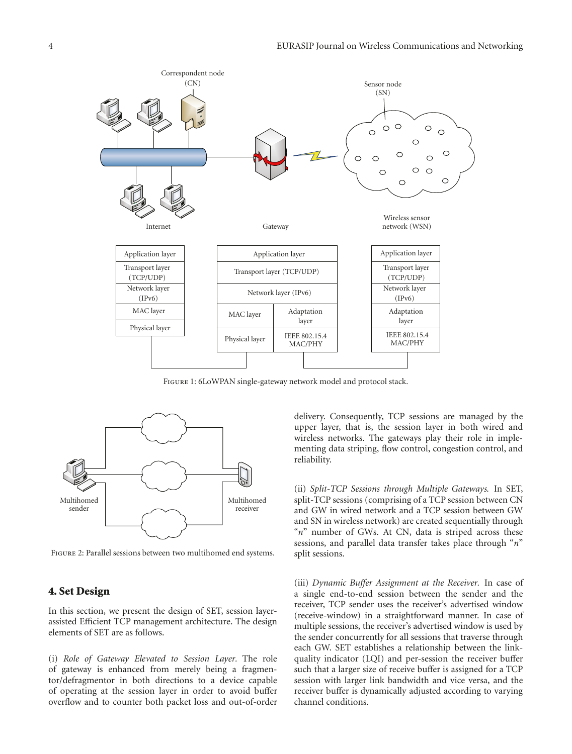

Figure 1: 6LoWPAN single-gateway network model and protocol stack.



Figure 2: Parallel sessions between two multihomed end systems.

#### **4. Set Design**

In this section, we present the design of SET, session layerassisted Efficient TCP management architecture. The design elements of SET are as follows.

(i) *Role of Gateway Elevated to Session Layer.* The role of gateway is enhanced from merely being a fragmentor/defragmentor in both directions to a device capable of operating at the session layer in order to avoid buffer overflow and to counter both packet loss and out-of-order

delivery. Consequently, TCP sessions are managed by the upper layer, that is, the session layer in both wired and wireless networks. The gateways play their role in implementing data striping, flow control, congestion control, and reliability.

(ii) *Split-TCP Sessions through Multiple Gateways.* In SET, split-TCP sessions (comprising of a TCP session between CN and GW in wired network and a TCP session between GW and SN in wireless network) are created sequentially through "*n*" number of GWs. At CN, data is striped across these sessions, and parallel data transfer takes place through "*n*" split sessions.

(iii) *Dynamic Buffer Assignment at the Receiver.* In case of a single end-to-end session between the sender and the receiver, TCP sender uses the receiver's advertised window (receive-window) in a straightforward manner. In case of multiple sessions, the receiver's advertised window is used by the sender concurrently for all sessions that traverse through each GW. SET establishes a relationship between the linkquality indicator (LQI) and per-session the receiver buffer such that a larger size of receive buffer is assigned for a TCP session with larger link bandwidth and vice versa, and the receiver buffer is dynamically adjusted according to varying channel conditions.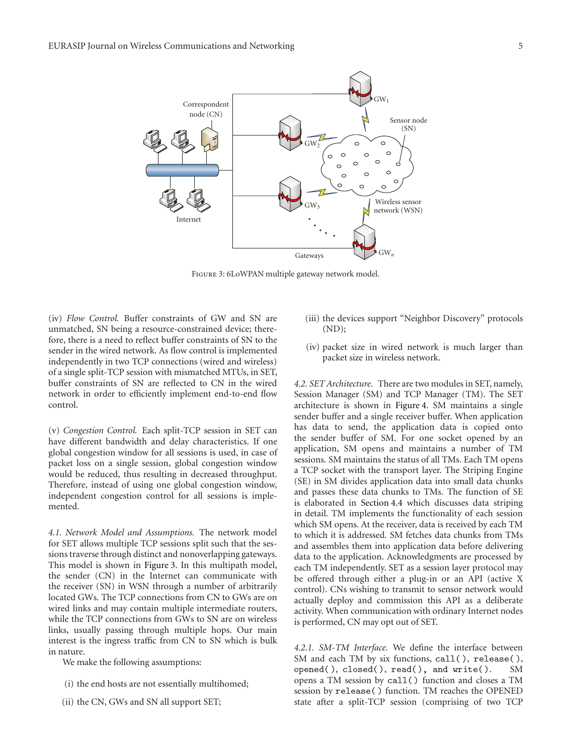

Figure 3: 6LoWPAN multiple gateway network model.

(iv) *Flow Control.* Buffer constraints of GW and SN are unmatched, SN being a resource-constrained device; therefore, there is a need to reflect buffer constraints of SN to the sender in the wired network. As flow control is implemented independently in two TCP connections (wired and wireless) of a single split-TCP session with mismatched MTUs, in SET, buffer constraints of SN are reflected to CN in the wired network in order to efficiently implement end-to-end flow control.

(v) *Congestion Control.* Each split-TCP session in SET can have different bandwidth and delay characteristics. If one global congestion window for all sessions is used, in case of packet loss on a single session, global congestion window would be reduced, thus resulting in decreased throughput. Therefore, instead of using one global congestion window, independent congestion control for all sessions is implemented.

*4.1. Network Model and Assumptions.* The network model for SET allows multiple TCP sessions split such that the sessions traverse through distinct and nonoverlapping gateways. This model is shown in Figure 3. In this multipath model, the sender (CN) in the Internet can communicate with the receiver (SN) in WSN through a number of arbitrarily located GWs. The TCP connections from CN to GWs are on wired links and may contain multiple intermediate routers, while the TCP connections from GWs to SN are on wireless links, usually passing through multiple hops. Our main interest is the ingress traffic from CN to SN which is bulk in nature.

We make the following assumptions:

- (i) the end hosts are not essentially multihomed;
- (ii) the CN, GWs and SN all support SET;
- (iii) the devices support "Neighbor Discovery" protocols  $(ND);$
- (iv) packet size in wired network is much larger than packet size in wireless network.

*4.2. SET Architecture.* There are two modules in SET, namely, Session Manager (SM) and TCP Manager (TM). The SET architecture is shown in Figure 4. SM maintains a single sender buffer and a single receiver buffer. When application has data to send, the application data is copied onto the sender buffer of SM. For one socket opened by an application, SM opens and maintains a number of TM sessions. SM maintains the status of all TMs. Each TM opens a TCP socket with the transport layer. The Striping Engine (SE) in SM divides application data into small data chunks and passes these data chunks to TMs. The function of SE is elaborated in Section 4.4 which discusses data striping in detail. TM implements the functionality of each session which SM opens. At the receiver, data is received by each TM to which it is addressed. SM fetches data chunks from TMs and assembles them into application data before delivering data to the application. Acknowledgments are processed by each TM independently. SET as a session layer protocol may be offered through either a plug-in or an API (active X control). CNs wishing to transmit to sensor network would actually deploy and commission this API as a deliberate activity. When communication with ordinary Internet nodes is performed, CN may opt out of SET.

*4.2.1. SM-TM Interface.* We define the interface between SM and each TM by six functions, call(), release(),  $\texttt{opened}(\, \texttt{)}, \, \texttt{closed}(\, \texttt{)}, \, \texttt{read}(\, \texttt{)}, \, \texttt{and} \, \, \texttt{write}(\, \texttt{)}. \hspace*{1em} \texttt{SM}$ opens a TM session by call () function and closes a TM session by release () function. TM reaches the OPENED state after a split-TCP session (comprising of two TCP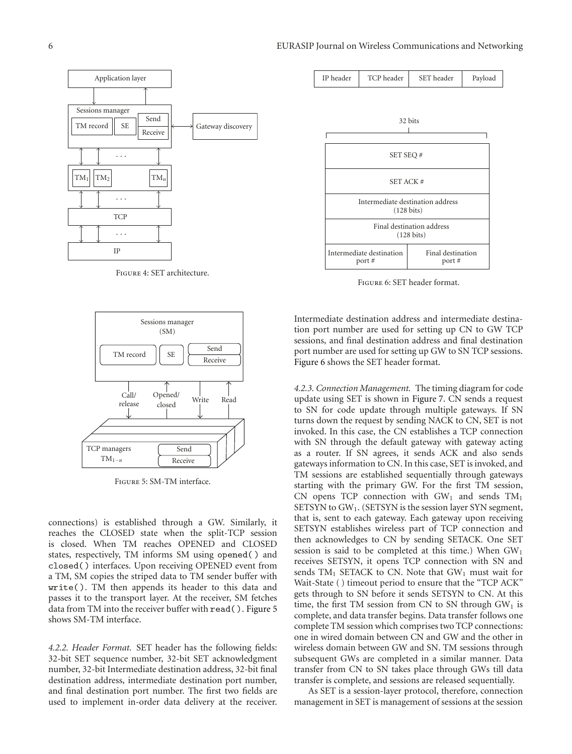IP header TCP header SET header Payload



Figure 4: SET architecture.



Figure 5: SM-TM interface.

connections) is established through a GW. Similarly, it reaches the CLOSED state when the split-TCP session is closed. When TM reaches OPENED and CLOSED states, respectively, TM informs SM using opened () and closed () interfaces. Upon receiving OPENED event from a TM, SM copies the striped data to TM sender buffer with write(). TM then appends its header to this data and passes it to the transport layer. At the receiver, SM fetches data from TM into the receiver buffer with read (). Figure 5 shows SM-TM interface.

*4.2.2. Header Format.* SET header has the following fields: 32-bit SET sequence number, 32-bit SET acknowledgment number, 32-bit Intermediate destination address, 32-bit final destination address, intermediate destination port number, and final destination port number. The first two fields are used to implement in-order data delivery at the receiver.



Figure 6: SET header format.

Intermediate destination address and intermediate destination port number are used for setting up CN to GW TCP sessions, and final destination address and final destination port number are used for setting up GW to SN TCP sessions. Figure 6 shows the SET header format.

*4.2.3. Connection Management.* The timing diagram for code update using SET is shown in Figure 7. CN sends a request to SN for code update through multiple gateways. If SN turns down the request by sending NACK to CN, SET is not invoked. In this case, the CN establishes a TCP connection with SN through the default gateway with gateway acting as a router. If SN agrees, it sends ACK and also sends gateways information to CN. In this case, SET is invoked, and TM sessions are established sequentially through gateways starting with the primary GW. For the first TM session, CN opens TCP connection with  $GW<sub>1</sub>$  and sends TM<sub>1</sub> SETSYN to  $GW_1$ . (SETSYN is the session layer SYN segment, that is, sent to each gateway. Each gateway upon receiving SETSYN establishes wireless part of TCP connection and then acknowledges to CN by sending SETACK. One SET session is said to be completed at this time.) When  $GW<sub>1</sub>$ receives SETSYN, it opens TCP connection with SN and sends  $TM_1$  SETACK to CN. Note that  $GW_1$  must wait for Wait-State ( ) timeout period to ensure that the "TCP ACK" gets through to SN before it sends SETSYN to CN. At this time, the first TM session from CN to SN through  $GW_1$  is complete, and data transfer begins. Data transfer follows one complete TM session which comprises two TCP connections: one in wired domain between CN and GW and the other in wireless domain between GW and SN. TM sessions through subsequent GWs are completed in a similar manner. Data transfer from CN to SN takes place through GWs till data transfer is complete, and sessions are released sequentially.

As SET is a session-layer protocol, therefore, connection management in SET is management of sessions at the session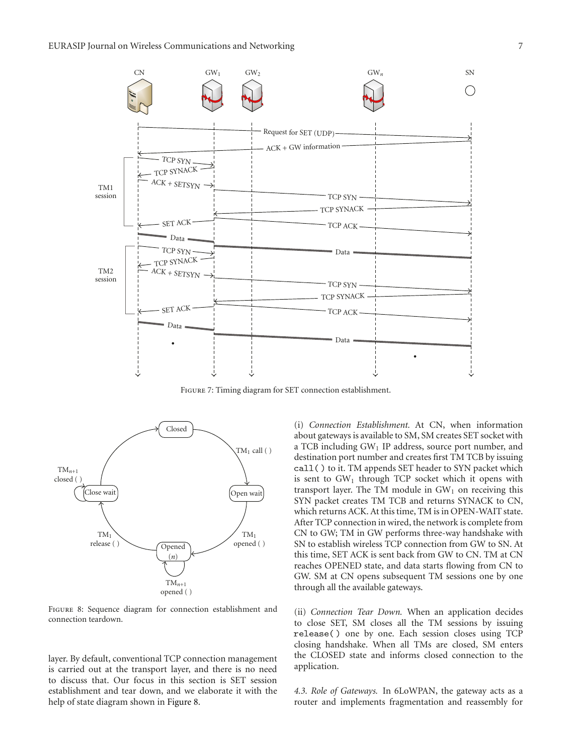

Figure 7: Timing diagram for SET connection establishment.



Figure 8: Sequence diagram for connection establishment and connection teardown.

layer. By default, conventional TCP connection management is carried out at the transport layer, and there is no need to discuss that. Our focus in this section is SET session establishment and tear down, and we elaborate it with the help of state diagram shown in Figure 8.

(i) *Connection Establishment.* At CN, when information about gateways is available to SM, SM creates SET socket with a TCB including  $GW_1$  IP address, source port number, and destination port number and creates first TM TCB by issuing call () to it. TM appends SET header to SYN packet which is sent to  $GW<sub>1</sub>$  through TCP socket which it opens with

transport layer. The TM module in  $GW<sub>1</sub>$  on receiving this SYN packet creates TM TCB and returns SYNACK to CN, which returns ACK. At this time, TM is in OPEN-WAIT state. After TCP connection in wired, the network is complete from CN to GW; TM in GW performs three-way handshake with SN to establish wireless TCP connection from GW to SN. At this time, SET ACK is sent back from GW to CN. TM at CN reaches OPENED state, and data starts flowing from CN to GW. SM at CN opens subsequent TM sessions one by one through all the available gateways.

(ii) *Connection Tear Down.* When an application decides to close SET, SM closes all the TM sessions by issuing release () one by one. Each session closes using TCP closing handshake. When all TMs are closed, SM enters the CLOSED state and informs closed connection to the application.

*4.3. Role of Gateways.* In 6LoWPAN, the gateway acts as a router and implements fragmentation and reassembly for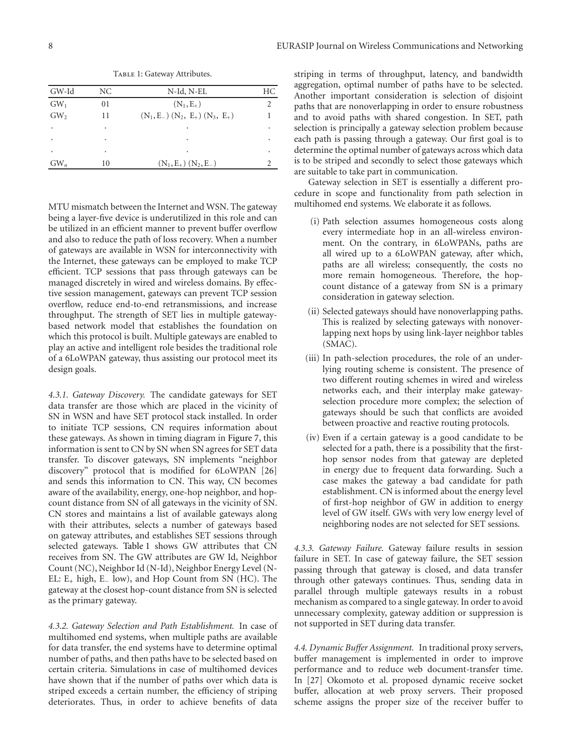| GW-Id           | NС | N-Id, N-EL                         | HС |
|-----------------|----|------------------------------------|----|
| GW <sub>1</sub> | 01 | $(N_1, E_+)$                       |    |
| GW <sub>2</sub> | 11 | $(N_1, E_-) (N_2, E_+) (N_3, E_+)$ |    |
| $\blacksquare$  | ٠  | ٠                                  | ٠  |
| $\cdot$         | ٠  |                                    |    |
| ٠               |    | ٠                                  |    |
|                 |    |                                    |    |

 $GW_n$  10  $(N_1, E_+)$   $(N_2, E_-)$  2

Table 1: Gateway Attributes.

MTU mismatch between the Internet and WSN. The gateway being a layer-five device is underutilized in this role and can be utilized in an efficient manner to prevent buffer overflow and also to reduce the path of loss recovery. When a number of gateways are available in WSN for interconnectivity with the Internet, these gateways can be employed to make TCP efficient. TCP sessions that pass through gateways can be managed discretely in wired and wireless domains. By effective session management, gateways can prevent TCP session overflow, reduce end-to-end retransmissions, and increase throughput. The strength of SET lies in multiple gatewaybased network model that establishes the foundation on which this protocol is built. Multiple gateways are enabled to play an active and intelligent role besides the traditional role of a 6LoWPAN gateway, thus assisting our protocol meet its design goals.

*4.3.1. Gateway Discovery.* The candidate gateways for SET data transfer are those which are placed in the vicinity of SN in WSN and have SET protocol stack installed. In order to initiate TCP sessions, CN requires information about these gateways. As shown in timing diagram in Figure 7, this information is sent to CN by SN when SN agrees for SET data transfer. To discover gateways, SN implements "neighbor discovery" protocol that is modified for 6LoWPAN [26] and sends this information to CN. This way, CN becomes aware of the availability, energy, one-hop neighbor, and hopcount distance from SN of all gateways in the vicinity of SN. CN stores and maintains a list of available gateways along with their attributes, selects a number of gateways based on gateway attributes, and establishes SET sessions through selected gateways. Table 1 shows GW attributes that CN receives from SN. The GW attributes are GW Id, Neighbor Count (NC), Neighbor Id (N-Id), Neighbor Energy Level (N-EL: E+ high, E<sup>−</sup> low), and Hop Count from SN (HC). The gateway at the closest hop-count distance from SN is selected as the primary gateway.

*4.3.2. Gateway Selection and Path Establishment.* In case of multihomed end systems, when multiple paths are available for data transfer, the end systems have to determine optimal number of paths, and then paths have to be selected based on certain criteria. Simulations in case of multihomed devices have shown that if the number of paths over which data is striped exceeds a certain number, the efficiency of striping deteriorates. Thus, in order to achieve benefits of data

striping in terms of throughput, latency, and bandwidth aggregation, optimal number of paths have to be selected. Another important consideration is selection of disjoint paths that are nonoverlapping in order to ensure robustness and to avoid paths with shared congestion. In SET, path selection is principally a gateway selection problem because each path is passing through a gateway. Our first goal is to determine the optimal number of gateways across which data is to be striped and secondly to select those gateways which are suitable to take part in communication.

Gateway selection in SET is essentially a different procedure in scope and functionality from path selection in multihomed end systems. We elaborate it as follows.

- (i) Path selection assumes homogeneous costs along every intermediate hop in an all-wireless environment. On the contrary, in 6LoWPANs, paths are all wired up to a 6LoWPAN gateway, after which, paths are all wireless; consequently, the costs no more remain homogeneous. Therefore, the hopcount distance of a gateway from SN is a primary consideration in gateway selection.
- (ii) Selected gateways should have nonoverlapping paths. This is realized by selecting gateways with nonoverlapping next hops by using link-layer neighbor tables (SMAC).
- (iii) In path-selection procedures, the role of an underlying routing scheme is consistent. The presence of two different routing schemes in wired and wireless networks each, and their interplay make gatewayselection procedure more complex; the selection of gateways should be such that conflicts are avoided between proactive and reactive routing protocols.
- (iv) Even if a certain gateway is a good candidate to be selected for a path, there is a possibility that the firsthop sensor nodes from that gateway are depleted in energy due to frequent data forwarding. Such a case makes the gateway a bad candidate for path establishment. CN is informed about the energy level of first-hop neighbor of GW in addition to energy level of GW itself. GWs with very low energy level of neighboring nodes are not selected for SET sessions.

*4.3.3. Gateway Failure.* Gateway failure results in session failure in SET. In case of gateway failure, the SET session passing through that gateway is closed, and data transfer through other gateways continues. Thus, sending data in parallel through multiple gateways results in a robust mechanism as compared to a single gateway. In order to avoid unnecessary complexity, gateway addition or suppression is not supported in SET during data transfer.

*4.4. Dynamic Buffer Assignment.* In traditional proxy servers, buffer management is implemented in order to improve performance and to reduce web document-transfer time. In [27] Okomoto et al. proposed dynamic receive socket buffer, allocation at web proxy servers. Their proposed scheme assigns the proper size of the receiver buffer to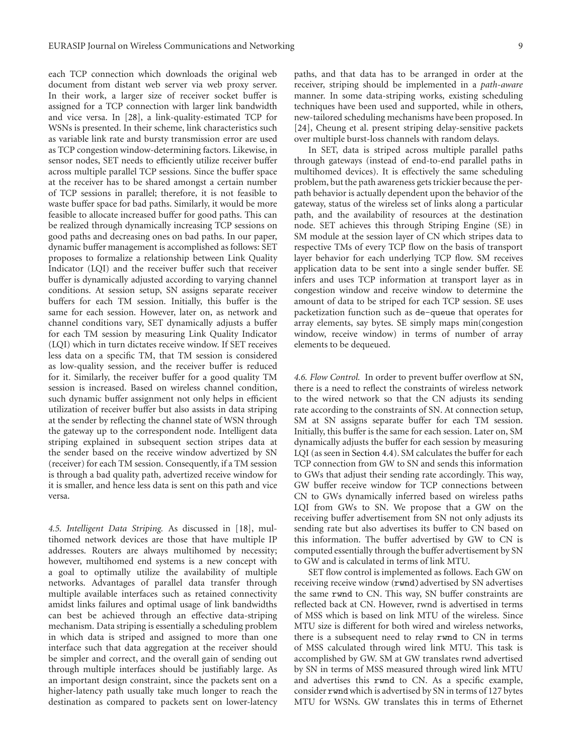each TCP connection which downloads the original web document from distant web server via web proxy server. In their work, a larger size of receiver socket buffer is assigned for a TCP connection with larger link bandwidth and vice versa. In [28], a link-quality-estimated TCP for WSNs is presented. In their scheme, link characteristics such as variable link rate and bursty transmission error are used as TCP congestion window-determining factors. Likewise, in sensor nodes, SET needs to efficiently utilize receiver buffer across multiple parallel TCP sessions. Since the buffer space at the receiver has to be shared amongst a certain number of TCP sessions in parallel; therefore, it is not feasible to waste buffer space for bad paths. Similarly, it would be more feasible to allocate increased buffer for good paths. This can be realized through dynamically increasing TCP sessions on good paths and decreasing ones on bad paths. In our paper, dynamic buffer management is accomplished as follows: SET proposes to formalize a relationship between Link Quality Indicator (LQI) and the receiver buffer such that receiver buffer is dynamically adjusted according to varying channel conditions. At session setup, SN assigns separate receiver buffers for each TM session. Initially, this buffer is the same for each session. However, later on, as network and channel conditions vary, SET dynamically adjusts a buffer for each TM session by measuring Link Quality Indicator (LQI) which in turn dictates receive window. If SET receives less data on a specific TM, that TM session is considered as low-quality session, and the receiver buffer is reduced for it. Similarly, the receiver buffer for a good quality TM session is increased. Based on wireless channel condition, such dynamic buffer assignment not only helps in efficient utilization of receiver buffer but also assists in data striping at the sender by reflecting the channel state of WSN through the gateway up to the correspondent node. Intelligent data striping explained in subsequent section stripes data at the sender based on the receive window advertized by SN (receiver) for each TM session. Consequently, if a TM session is through a bad quality path, advertized receive window for it is smaller, and hence less data is sent on this path and vice versa.

*4.5. Intelligent Data Striping.* As discussed in [18], multihomed network devices are those that have multiple IP addresses. Routers are always multihomed by necessity; however, multihomed end systems is a new concept with a goal to optimally utilize the availability of multiple networks. Advantages of parallel data transfer through multiple available interfaces such as retained connectivity amidst links failures and optimal usage of link bandwidths can best be achieved through an effective data-striping mechanism. Data striping is essentially a scheduling problem in which data is striped and assigned to more than one interface such that data aggregation at the receiver should be simpler and correct, and the overall gain of sending out through multiple interfaces should be justifiably large. As an important design constraint, since the packets sent on a higher-latency path usually take much longer to reach the destination as compared to packets sent on lower-latency paths, and that data has to be arranged in order at the receiver, striping should be implemented in a *path-aware* manner. In some data-striping works, existing scheduling techniques have been used and supported, while in others, new-tailored scheduling mechanisms have been proposed. In [24], Cheung et al. present striping delay-sensitive packets over multiple burst-loss channels with random delays.

In SET, data is striped across multiple parallel paths through gateways (instead of end-to-end parallel paths in multihomed devices). It is effectively the same scheduling problem, but the path awareness gets trickier because the perpath behavior is actually dependent upon the behavior of the gateway, status of the wireless set of links along a particular path, and the availability of resources at the destination node. SET achieves this through Striping Engine (SE) in SM module at the session layer of CN which stripes data to respective TMs of every TCP flow on the basis of transport layer behavior for each underlying TCP flow. SM receives application data to be sent into a single sender buffer. SE infers and uses TCP information at transport layer as in congestion window and receive window to determine the amount of data to be striped for each TCP session. SE uses packetization function such as de-queue that operates for array elements, say bytes. SE simply maps min(congestion window, receive window) in terms of number of array elements to be dequeued.

*4.6. Flow Control.* In order to prevent buffer overflow at SN, there is a need to reflect the constraints of wireless network to the wired network so that the CN adjusts its sending rate according to the constraints of SN. At connection setup, SM at SN assigns separate buffer for each TM session. Initially, this buffer is the same for each session. Later on, SM dynamically adjusts the buffer for each session by measuring LQI (as seen in Section 4.4). SM calculates the buffer for each TCP connection from GW to SN and sends this information to GWs that adjust their sending rate accordingly. This way, GW buffer receive window for TCP connections between CN to GWs dynamically inferred based on wireless paths LQI from GWs to SN. We propose that a GW on the receiving buffer advertisement from SN not only adjusts its sending rate but also advertises its buffer to CN based on this information. The buffer advertised by GW to CN is computed essentially through the buffer advertisement by SN to GW and is calculated in terms of link MTU.

SET flow control is implemented as follows. Each GW on receiving receive window (rwnd) advertised by SN advertises the same rwnd to CN. This way, SN buffer constraints are reflected back at CN. However, rwnd is advertised in terms of MSS which is based on link MTU of the wireless. Since MTU size is different for both wired and wireless networks, there is a subsequent need to relay rwnd to CN in terms of MSS calculated through wired link MTU. This task is accomplished by GW. SM at GW translates rwnd advertised by SN in terms of MSS measured through wired link MTU and advertises this rwnd to CN. As a specific example, consider rwnd which is advertised by SN in terms of 127 bytes MTU for WSNs. GW translates this in terms of Ethernet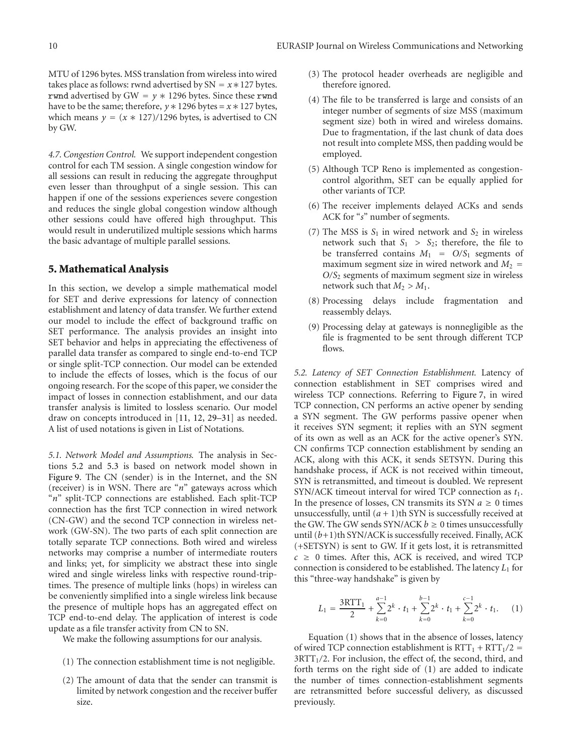MTU of 1296 bytes. MSS translation from wireless into wired takes place as follows: rwnd advertised by  $SN = x * 127$  bytes. r wnd advertised by GW =  $y * 1296$  bytes. Since these rwnd have to be the same; therefore,  $y * 1296$  bytes =  $x * 127$  bytes, which means  $y = (x * 127)/1296$  bytes, is advertised to CN by GW.

*4.7. Congestion Control.* We support independent congestion control for each TM session. A single congestion window for all sessions can result in reducing the aggregate throughput even lesser than throughput of a single session. This can happen if one of the sessions experiences severe congestion and reduces the single global congestion window although other sessions could have offered high throughput. This would result in underutilized multiple sessions which harms the basic advantage of multiple parallel sessions.

#### **5. Mathematical Analysis**

In this section, we develop a simple mathematical model for SET and derive expressions for latency of connection establishment and latency of data transfer. We further extend our model to include the effect of background traffic on SET performance. The analysis provides an insight into SET behavior and helps in appreciating the effectiveness of parallel data transfer as compared to single end-to-end TCP or single split-TCP connection. Our model can be extended to include the effects of losses, which is the focus of our ongoing research. For the scope of this paper, we consider the impact of losses in connection establishment, and our data transfer analysis is limited to lossless scenario. Our model draw on concepts introduced in [11, 12, 29–31] as needed. A list of used notations is given in List of Notations.

*5.1. Network Model and Assumptions.* The analysis in Sections 5.2 and 5.3 is based on network model shown in Figure 9. The CN (sender) is in the Internet, and the SN (receiver) is in WSN. There are "*n*" gateways across which "*n*" split-TCP connections are established. Each split-TCP connection has the first TCP connection in wired network (CN-GW) and the second TCP connection in wireless network (GW-SN). The two parts of each split connection are totally separate TCP connections. Both wired and wireless networks may comprise a number of intermediate routers and links; yet, for simplicity we abstract these into single wired and single wireless links with respective round-triptimes. The presence of multiple links (hops) in wireless can be conveniently simplified into a single wireless link because the presence of multiple hops has an aggregated effect on TCP end-to-end delay. The application of interest is code update as a file transfer activity from CN to SN.

We make the following assumptions for our analysis.

- (1) The connection establishment time is not negligible.
- (2) The amount of data that the sender can transmit is limited by network congestion and the receiver buffer size.
- (3) The protocol header overheads are negligible and therefore ignored.
- (4) The file to be transferred is large and consists of an integer number of segments of size MSS (maximum segment size) both in wired and wireless domains. Due to fragmentation, if the last chunk of data does not result into complete MSS, then padding would be employed.
- (5) Although TCP Reno is implemented as congestioncontrol algorithm, SET can be equally applied for other variants of TCP.
- (6) The receiver implements delayed ACKs and sends ACK for "*s*" number of segments.
- (7) The MSS is  $S_1$  in wired network and  $S_2$  in wireless network such that  $S_1 > S_2$ ; therefore, the file to be transferred contains  $M_1 = O/S_1$  segments of maximum segment size in wired network and  $M_2$  = *O/S*<sup>2</sup> segments of maximum segment size in wireless network such that  $M_2 > M_1$ .
- (8) Processing delays include fragmentation and reassembly delays.
- (9) Processing delay at gateways is nonnegligible as the file is fragmented to be sent through different TCP flows.

*5.2. Latency of SET Connection Establishment.* Latency of connection establishment in SET comprises wired and wireless TCP connections. Referring to Figure 7, in wired TCP connection, CN performs an active opener by sending a SYN segment. The GW performs passive opener when it receives SYN segment; it replies with an SYN segment of its own as well as an ACK for the active opener's SYN. CN confirms TCP connection establishment by sending an ACK, along with this ACK, it sends SETSYN. During this handshake process, if ACK is not received within timeout, SYN is retransmitted, and timeout is doubled. We represent SYN/ACK timeout interval for wired TCP connection as *t*1. In the presence of losses, CN transmits its SYN  $a \geq 0$  times unsuccessfully, until  $(a + 1)$ th SYN is successfully received at the GW. The GW sends SYN/ACK  $b \ge 0$  times unsuccessfully until  $(b+1)$ th SYN/ACK is successfully received. Finally, ACK (+SETSYN) is sent to GW. If it gets lost, it is retransmitted  $c \geq 0$  times. After this, ACK is received, and wired TCP connection is considered to be established. The latency *L*<sup>1</sup> for this "three-way handshake" is given by

$$
L_1 = \frac{3RTT_1}{2} + \sum_{k=0}^{a-1} 2^k \cdot t_1 + \sum_{k=0}^{b-1} 2^k \cdot t_1 + \sum_{k=0}^{c-1} 2^k \cdot t_1. \tag{1}
$$

Equation (1) shows that in the absence of losses, latency of wired TCP connection establishment is  $RTT_1 + RTT_1/2 =$ 3RTT<sub>1</sub>/2. For inclusion, the effect of, the second, third, and forth terms on the right side of (1) are added to indicate the number of times connection-establishment segments are retransmitted before successful delivery, as discussed previously.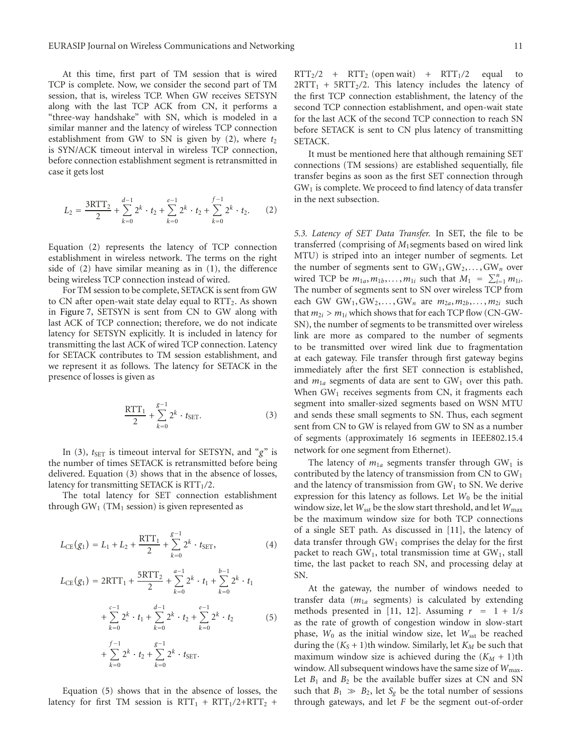At this time, first part of TM session that is wired TCP is complete. Now, we consider the second part of TM session, that is, wireless TCP. When GW receives SETSYN along with the last TCP ACK from CN, it performs a "three-way handshake" with SN, which is modeled in a similar manner and the latency of wireless TCP connection establishment from GW to SN is given by  $(2)$ , where  $t_2$ is SYN/ACK timeout interval in wireless TCP connection, before connection establishment segment is retransmitted in case it gets lost

$$
L_2 = \frac{3RTT_2}{2} + \sum_{k=0}^{d-1} 2^k \cdot t_2 + \sum_{k=0}^{e-1} 2^k \cdot t_2 + \sum_{k=0}^{f-1} 2^k \cdot t_2.
$$
 (2)

Equation (2) represents the latency of TCP connection establishment in wireless network. The terms on the right side of (2) have similar meaning as in (1), the difference being wireless TCP connection instead of wired.

For TM session to be complete, SETACK is sent from GW to CN after open-wait state delay equal to  $RTT<sub>2</sub>$ . As shown in Figure 7, SETSYN is sent from CN to GW along with last ACK of TCP connection; therefore, we do not indicate latency for SETSYN explicitly. It is included in latency for transmitting the last ACK of wired TCP connection. Latency for SETACK contributes to TM session establishment, and we represent it as follows. The latency for SETACK in the presence of losses is given as

$$
\frac{\text{RTT}_1}{2} + \sum_{k=0}^{g-1} 2^k \cdot t_{\text{SET}}.\tag{3}
$$

In (3),  $t_{\text{SET}}$  is timeout interval for SETSYN, and " $g$ " is the number of times SETACK is retransmitted before being delivered. Equation (3) shows that in the absence of losses, latency for transmitting SETACK is RTT<sub>1</sub>/2.

The total latency for SET connection establishment through GW<sub>1</sub> (TM<sub>1</sub> session) is given represented as

$$
L_{CE}(g_1) = L_1 + L_2 + \frac{\text{RTT}_1}{2} + \sum_{k=0}^{g-1} 2^k \cdot t_{\text{SET}},
$$
 (4)

$$
L_{\text{CE}}(g_1) = 2\text{RTT}_1 + \frac{5\text{RTT}_2}{2} + \sum_{k=0}^{a-1} 2^k \cdot t_1 + \sum_{k=0}^{b-1} 2^k \cdot t_1
$$

$$
+\sum_{k=0}^{c-1} 2^{k} \cdot t_{1} + \sum_{k=0}^{d-1} 2^{k} \cdot t_{2} + \sum_{k=0}^{e-1} 2^{k} \cdot t_{2}
$$
 (5)

$$
+\sum_{k=0}^{j-1} 2^k \cdot t_2 + \sum_{k=0}^{g-1} 2^k \cdot t_{\text{SET}}.
$$

Equation (5) shows that in the absence of losses, the latency for first TM session is  $RTT_1 + RTT_1/2 + RTT_2 +$ 

 $RTT_2/2 + RTT_2$  (open wait) +  $RTT_1/2$  equal to  $2RTT_1 + 5RTT_2/2$ . This latency includes the latency of the first TCP connection establishment, the latency of the second TCP connection establishment, and open-wait state for the last ACK of the second TCP connection to reach SN before SETACK is sent to CN plus latency of transmitting SETACK.

It must be mentioned here that although remaining SET connections (TM sessions) are established sequentially, file transfer begins as soon as the first SET connection through GW1 is complete. We proceed to find latency of data transfer in the next subsection.

*5.3. Latency of SET Data Transfer.* In SET, the file to be transferred (comprising of *M*1segments based on wired link MTU) is striped into an integer number of segments. Let the number of segments sent to  $GW_1, GW_2, \ldots, GW_n$  over wired TCP be  $m_{1a}, m_{1b}, \ldots, m_{1i}$  such that  $M_1 = \sum_{i=1}^{n} m_{1i}$ . The number of segments sent to SN over wireless TCP from each GW GW<sub>1</sub>, GW<sub>2</sub>, ..., GW<sub>n</sub> are  $m_{2a}$ ,  $m_{2b}$ , ...,  $m_{2i}$  such that  $m_{2i} > m_{1i}$  which shows that for each TCP flow (CN-GW-SN), the number of segments to be transmitted over wireless link are more as compared to the number of segments to be transmitted over wired link due to fragmentation at each gateway. File transfer through first gateway begins immediately after the first SET connection is established, and  $m_{1a}$  segments of data are sent to  $GW_1$  over this path. When  $GW<sub>1</sub>$  receives segments from CN, it fragments each segment into smaller-sized segments based on WSN MTU and sends these small segments to SN. Thus, each segment sent from CN to GW is relayed from GW to SN as a number of segments (approximately 16 segments in IEEE802.15.4 network for one segment from Ethernet).

The latency of  $m_{1a}$  segments transfer through  $GW_1$  is contributed by the latency of transmission from  $CN$  to  $GW<sub>1</sub>$ and the latency of transmission from  $GW<sub>1</sub>$  to SN. We derive expression for this latency as follows. Let  $W_0$  be the initial window size, let  $W_{\text{sst}}$  be the slow start threshold, and let  $W_{\text{max}}$ be the maximum window size for both TCP connections of a single SET path. As discussed in [11], the latency of data transfer through  $GW<sub>1</sub>$  comprises the delay for the first packet to reach  $GW<sub>1</sub>$ , total transmission time at  $GW<sub>1</sub>$ , stall time, the last packet to reach SN, and processing delay at SN.

At the gateway, the number of windows needed to transfer data  $(m_{1a}$  segments) is calculated by extending methods presented in [11, 12]. Assuming  $r = 1 + 1/s$ as the rate of growth of congestion window in slow-start phase,  $W_0$  as the initial window size, let  $W_{\text{sst}}$  be reached during the  $(K<sub>S</sub> + 1)$ th window. Similarly, let  $K<sub>M</sub>$  be such that maximum window size is achieved during the  $(K_M + 1)$ th window. All subsequent windows have the same size of  $W_{\text{max}}$ . Let  $B_1$  and  $B_2$  be the available buffer sizes at CN and SN such that  $B_1 \gg B_2$ , let  $S_g$  be the total number of sessions through gateways, and let *F* be the segment out-of-order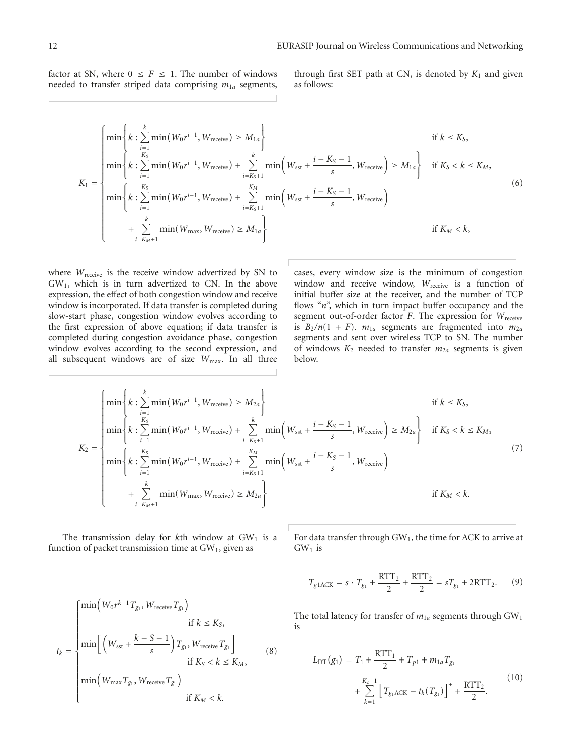factor at SN, where  $0 \leq F \leq 1$ . The number of windows needed to transfer striped data comprising  $m_{1a}$  segments, through first SET path at CN, is denoted by  $K_1$  and given as follows:

$$
K_{1} = \begin{cases} \min\left\{k : \sum_{i=1}^{k} \min(W_{0}r^{i-1}, W_{\text{receive}}) \geq M_{1a}\right\} & \text{if } k \leq K_{S}, \\ \min\left\{k : \sum_{i=1}^{K_{S}} \min(W_{0}r^{i-1}, W_{\text{receive}}) + \sum_{i=K_{S}+1}^{k} \min(W_{\text{sst}} + \frac{i-K_{S}-1}{s}, W_{\text{receive}}) \geq M_{1a}\right\} & \text{if } K_{S} < k \leq K_{M}, \\ \min\left\{k : \sum_{i=1}^{K_{S}} \min(W_{0}r^{i-1}, W_{\text{receive}}) + \sum_{i=K_{S}+1}^{K_{M}} \min(W_{\text{sst}} + \frac{i-K_{S}-1}{s}, W_{\text{receive}}) \right\} & \text{if } K_{M} < k, \\ + \sum_{i=K_{M}+1}^{k} \min(W_{\text{max}}, W_{\text{receive}}) \geq M_{1a} & \text{if } K_{M} < k, \end{cases}
$$
\n
$$
(6)
$$

where *W*<sub>receive</sub> is the receive window advertized by SN to GW1, which is in turn advertized to CN. In the above expression, the effect of both congestion window and receive window is incorporated. If data transfer is completed during slow-start phase, congestion window evolves according to the first expression of above equation; if data transfer is completed during congestion avoidance phase, congestion window evolves according to the second expression, and all subsequent windows are of size *W*max. In all three cases, every window size is the minimum of congestion window and receive window, W<sub>receive</sub> is a function of initial buffer size at the receiver, and the number of TCP flows "*n*", which in turn impact buffer occupancy and the segment out-of-order factor *F*. The expression for *W*<sub>receive</sub> is  $B_2/n(1 + F)$ .  $m_{1a}$  segments are fragmented into  $m_{2a}$ segments and sent over wireless TCP to SN. The number of windows  $K_2$  needed to transfer  $m_{2a}$  segments is given below.

$$
K_{2} = \begin{cases} \min\left\{k : \sum_{i=1}^{k} \min(W_{0}r^{i-1}, W_{\text{receive}}) \geq M_{2a}\right\} & \text{if } k \leq K_{S}, \\ \min\left\{k : \sum_{i=1}^{K_{S}} \min(W_{0}r^{i-1}, W_{\text{receive}}) + \sum_{i=K_{S}+1}^{k} \min(W_{sst} + \frac{i-K_{S}-1}{s}, W_{\text{receive}}) \geq M_{2a}\right\} & \text{if } K_{S} < k \leq K_{M}, \\ \min\left\{k : \sum_{i=1}^{K_{S}} \min(W_{0}r^{i-1}, W_{\text{receive}}) + \sum_{i=K_{S}+1}^{K_{M}} \min(W_{sst} + \frac{i-K_{S}-1}{s}, W_{\text{receive}}) \right\} & \text{if } K_{M} < k. \end{cases} \tag{7}
$$

The transmission delay for  $k$ th window at  $GW<sub>1</sub>$  is a function of packet transmission time at  $GW<sub>1</sub>$ , given as

if  $k \leq K_S$ ,

 $T_{g_1}$ *, W*<sub>receive</sub>  $T_{g_1}$ 

if  $K_M < k$ .

if  $K_S < k \leq K_M$ ,

(8)

 $\left(\min(W_0 r^{k-1} T_{g_1}, W_{\text{receive}} T_{g_1}\right)$ 

 $\min \left[ \left( W_{\text{sst}} + \frac{k - S - 1}{s} \right) \right]$ 

 $\min\left(W_{\text{max}}T_{g_1},\,W_{\text{receive}}\,_{g_1}\right)$ 

*s*

 $t_k =$ 

 $\overline{a}$ 

⎪⎪⎪⎪⎪⎪⎪⎪⎪⎪⎪⎪⎪⎪⎪⎪⎩

For data transfer through GW<sub>1</sub>, the time for ACK to arrive at  $GW<sub>1</sub>$  is

$$
T_{g1ACK} = s \cdot T_{g1} + \frac{\text{RTT}_2}{2} + \frac{\text{RTT}_2}{2} = sT_{g1} + 2\text{RTT}_2. \tag{9}
$$

The total latency for transfer of 
$$
m_{1a}
$$
 segments through GW<sub>1</sub> is

$$
L_{\text{DT}}(g_1) = T_1 + \frac{\text{RTT}_1}{2} + T_{p1} + m_{1a} T_{g_1} + \sum_{k=1}^{K_2 - 1} \left[ T_{g_1 \text{ACK}} - t_k (T_{g_1}) \right]^+ + \frac{\text{RTT}_2}{2}.
$$
 (10)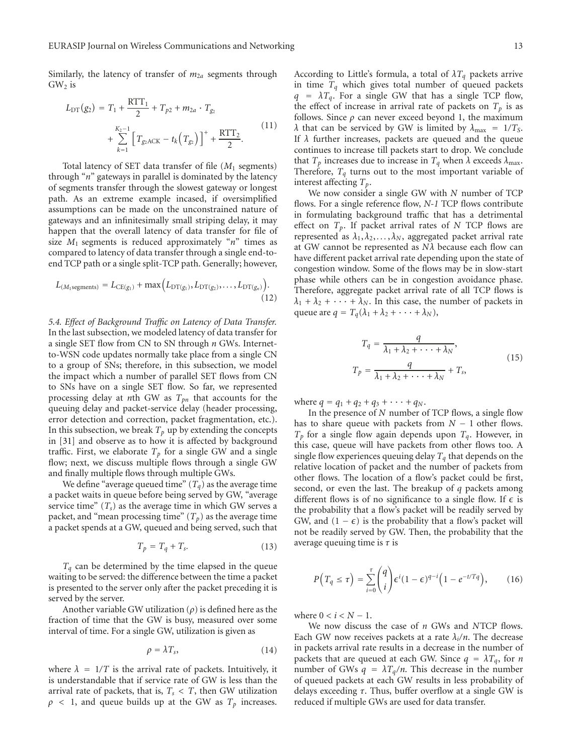Similarly, the latency of transfer of  $m_{2a}$  segments through  $GW<sub>2</sub>$  is

$$
L_{\text{DT}}(g_2) = T_1 + \frac{\text{RTT}_1}{2} + T_{p2} + m_{2a} \cdot T_{g_2} + \sum_{k=1}^{K_2 - 1} \left[ T_{g_2 \text{ACK}} - t_k \left( T_{g_2} \right) \right]^+ + \frac{\text{RTT}_2}{2}.
$$
 (11)

Total latency of SET data transfer of file (*M*<sup>1</sup> segments) through "*n*" gateways in parallel is dominated by the latency of segments transfer through the slowest gateway or longest path. As an extreme example incased, if oversimplified assumptions can be made on the unconstrained nature of gateways and an infinitesimally small striping delay, it may happen that the overall latency of data transfer for file of size *M*<sup>1</sup> segments is reduced approximately "*n*" times as compared to latency of data transfer through a single end-toend TCP path or a single split-TCP path. Generally; however,

$$
L_{(M_1 \text{segments})} = L_{\text{CE}(g_1)} + \max (L_{\text{DT}(g_1)}, L_{\text{DT}(g_2)}, \dots, L_{\text{DT}(g_n)}).
$$
\n(12)

*5.4. Effect of Background Traffic on Latency of Data Transfer.* In the last subsection, we modeled latency of data transfer for a single SET flow from CN to SN through *n* GWs. Internetto-WSN code updates normally take place from a single CN to a group of SNs; therefore, in this subsection, we model the impact which a number of parallel SET flows from CN to SNs have on a single SET flow. So far, we represented processing delay at *n*th GW as *Tpn* that accounts for the queuing delay and packet-service delay (header processing, error detection and correction, packet fragmentation, etc.). In this subsection, we break  $T_p$  up by extending the concepts in [31] and observe as to how it is affected by background traffic. First, we elaborate  $T_p$  for a single GW and a single flow; next, we discuss multiple flows through a single GW and finally multiple flows through multiple GWs.

We define "average queued time"  $(T_q)$  as the average time a packet waits in queue before being served by GW, "average service time"  $(T_s)$  as the average time in which GW serves a packet, and "mean processing time"  $(T_p)$  as the average time a packet spends at a GW, queued and being served, such that

$$
T_p = T_q + T_s. \tag{13}
$$

*Tq* can be determined by the time elapsed in the queue waiting to be served: the difference between the time a packet is presented to the server only after the packet preceding it is served by the server.

Another variable GW utilization (*ρ*) is defined here as the fraction of time that the GW is busy, measured over some interval of time. For a single GW, utilization is given as

$$
\rho = \lambda T_s,\tag{14}
$$

where  $\lambda = 1/T$  is the arrival rate of packets. Intuitively, it is understandable that if service rate of GW is less than the arrival rate of packets, that is,  $T_s < T$ , then GW utilization *ρ <* 1, and queue builds up at the GW as *Tp* increases. According to Little's formula, a total of  $\lambda T_q$  packets arrive in time  $T_q$  which gives total number of queued packets  $q = \lambda T_q$ . For a single GW that has a single TCP flow, the effect of increase in arrival rate of packets on  $T_p$  is as follows. Since  $\rho$  can never exceed beyond 1, the maximum *λ* that can be serviced by GW is limited by  $λ_{max} = 1/T_S$ . If *λ* further increases, packets are queued and the queue continues to increase till packets start to drop. We conclude that  $T_p$  increases due to increase in  $T_q$  when  $\lambda$  exceeds  $\lambda_{\text{max}}$ . Therefore,  $T_q$  turns out to the most important variable of interest affecting *Tp*.

We now consider a single GW with *N* number of TCP flows. For a single reference flow, *N-1* TCP flows contribute in formulating background traffic that has a detrimental effect on *Tp*. If packet arrival rates of *N* TCP flows are represented as  $\lambda_1, \lambda_2, \ldots, \lambda_N$ , aggregated packet arrival rate at GW cannot be represented as *Nλ* because each flow can have different packet arrival rate depending upon the state of congestion window. Some of the flows may be in slow-start phase while others can be in congestion avoidance phase. Therefore, aggregate packet arrival rate of all TCP flows is  $\lambda_1 + \lambda_2 + \cdots + \lambda_N$ . In this case, the number of packets in queue are  $q = T_q(\lambda_1 + \lambda_2 + \cdots + \lambda_N)$ ,

$$
T_q = \frac{q}{\lambda_1 + \lambda_2 + \dots + \lambda_N},
$$
  
\n
$$
T_p = \frac{q}{\lambda_1 + \lambda_2 + \dots + \lambda_N} + T_s,
$$
\n(15)

where  $q = q_1 + q_2 + q_3 + \cdots + q_N$ .

In the presence of *N* number of TCP flows, a single flow has to share queue with packets from *N* − 1 other flows. *Tp* for a single flow again depends upon *Tq*. However, in this case, queue will have packets from other flows too. A single flow experiences queuing delay  $T<sub>q</sub>$  that depends on the relative location of packet and the number of packets from other flows. The location of a flow's packet could be first, second, or even the last. The breakup of *q* packets among different flows is of no significance to a single flow. If  $\epsilon$  is the probability that a flow's packet will be readily served by GW, and  $(1 - \epsilon)$  is the probability that a flow's packet will not be readily served by GW. Then, the probability that the average queuing time is *τ* is

$$
P(T_q \le \tau) = \sum_{i=0}^{\tau} {q \choose i} \epsilon^i (1-\epsilon)^{q-i} \left(1 - e^{-t/T_q}\right), \qquad (16)
$$

where  $0 < i < N - 1$ .

We now discuss the case of *n* GWs and *N*TCP flows. Each GW now receives packets at a rate  $\lambda_i/n$ . The decrease in packets arrival rate results in a decrease in the number of packets that are queued at each GW. Since  $q = \lambda T_q$ , for *n* number of GWs  $q = \lambda T_q/n$ . This decrease in the number of queued packets at each GW results in less probability of delays exceeding *τ*. Thus, buffer overflow at a single GW is reduced if multiple GWs are used for data transfer.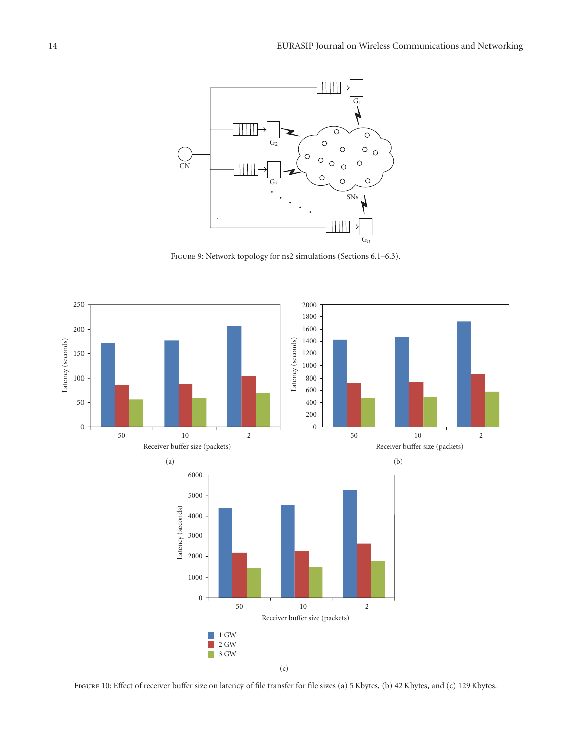

Figure 9: Network topology for ns2 simulations (Sections 6.1–6.3).



Figure 10: Effect of receiver buffer size on latency of file transfer for file sizes (a) 5 Kbytes, (b) 42 Kbytes, and (c) 129 Kbytes.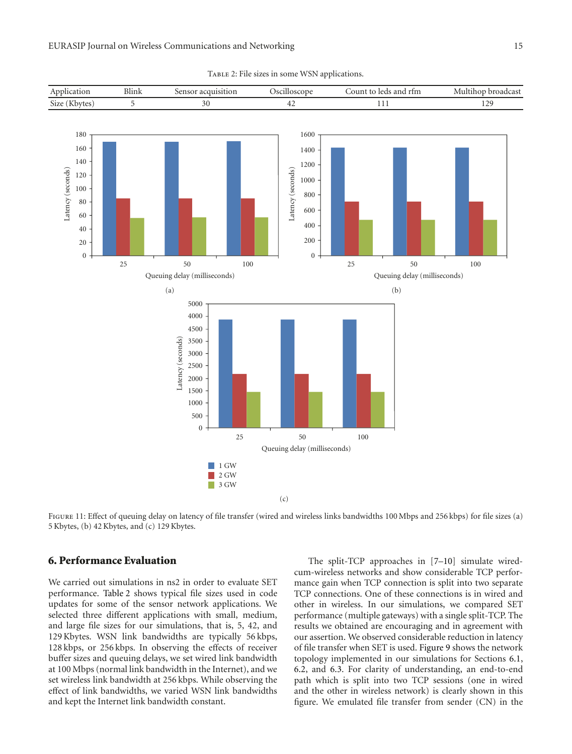

TABLE 2: File sizes in some WSN applications.

FIGURE 11: Effect of queuing delay on latency of file transfer (wired and wireless links bandwidths 100 Mbps and 256 kbps) for file sizes (a) 5 Kbytes, (b) 42 Kbytes, and (c) 129 Kbytes.

### **6. Performance Evaluation**

We carried out simulations in ns2 in order to evaluate SET performance. Table 2 shows typical file sizes used in code updates for some of the sensor network applications. We selected three different applications with small, medium, and large file sizes for our simulations, that is, 5, 42, and 129 Kbytes. WSN link bandwidths are typically 56 kbps, 128 kbps, or 256 kbps. In observing the effects of receiver buffer sizes and queuing delays, we set wired link bandwidth at 100 Mbps (normal link bandwidth in the Internet), and we set wireless link bandwidth at 256 kbps. While observing the effect of link bandwidths, we varied WSN link bandwidths and kept the Internet link bandwidth constant.

The split-TCP approaches in [7–10] simulate wiredcum-wireless networks and show considerable TCP performance gain when TCP connection is split into two separate TCP connections. One of these connections is in wired and other in wireless. In our simulations, we compared SET performance (multiple gateways) with a single split-TCP. The results we obtained are encouraging and in agreement with our assertion. We observed considerable reduction in latency of file transfer when SET is used. Figure 9 shows the network topology implemented in our simulations for Sections 6.1, 6.2, and 6.3. For clarity of understanding, an end-to-end path which is split into two TCP sessions (one in wired and the other in wireless network) is clearly shown in this figure. We emulated file transfer from sender (CN) in the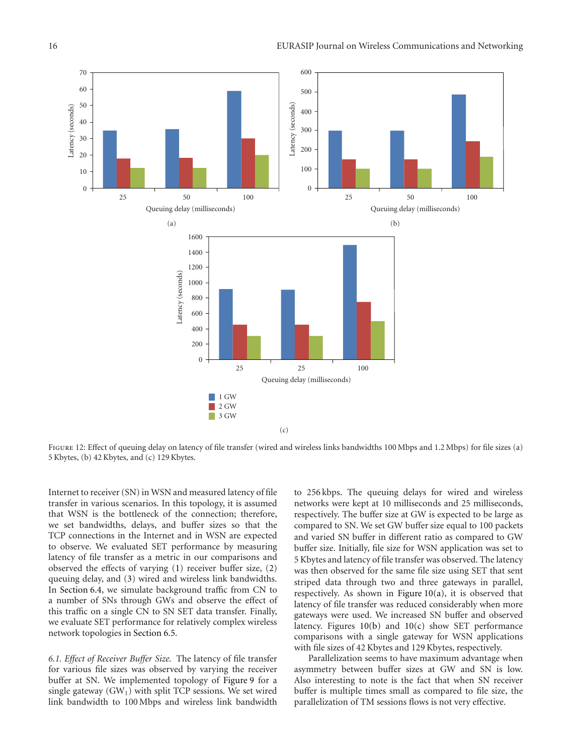

Figure 12: Effect of queuing delay on latency of file transfer (wired and wireless links bandwidths 100 Mbps and 1.2 Mbps) for file sizes (a) 5 Kbytes, (b) 42 Kbytes, and (c) 129 Kbytes.

Internet to receiver (SN) in WSN and measured latency of file transfer in various scenarios. In this topology, it is assumed that WSN is the bottleneck of the connection; therefore, we set bandwidths, delays, and buffer sizes so that the TCP connections in the Internet and in WSN are expected to observe. We evaluated SET performance by measuring latency of file transfer as a metric in our comparisons and observed the effects of varying (1) receiver buffer size, (2) queuing delay, and (3) wired and wireless link bandwidths. In Section 6.4, we simulate background traffic from CN to a number of SNs through GWs and observe the effect of this traffic on a single CN to SN SET data transfer. Finally, we evaluate SET performance for relatively complex wireless network topologies in Section 6.5.

*6.1. Effect of Receiver Buffer Size.* The latency of file transfer for various file sizes was observed by varying the receiver buffer at SN. We implemented topology of Figure 9 for a single gateway  $(GW_1)$  with split TCP sessions. We set wired link bandwidth to 100 Mbps and wireless link bandwidth

to 256 kbps. The queuing delays for wired and wireless networks were kept at 10 milliseconds and 25 milliseconds, respectively. The buffer size at GW is expected to be large as compared to SN. We set GW buffer size equal to 100 packets and varied SN buffer in different ratio as compared to GW buffer size. Initially, file size for WSN application was set to 5 Kbytes and latency of file transfer was observed. The latency was then observed for the same file size using SET that sent striped data through two and three gateways in parallel, respectively. As shown in Figure  $10(a)$ , it is observed that latency of file transfer was reduced considerably when more gateways were used. We increased SN buffer and observed latency. Figures 10(b) and 10(c) show SET performance comparisons with a single gateway for WSN applications with file sizes of 42 Kbytes and 129 Kbytes, respectively.

Parallelization seems to have maximum advantage when asymmetry between buffer sizes at GW and SN is low. Also interesting to note is the fact that when SN receiver buffer is multiple times small as compared to file size, the parallelization of TM sessions flows is not very effective.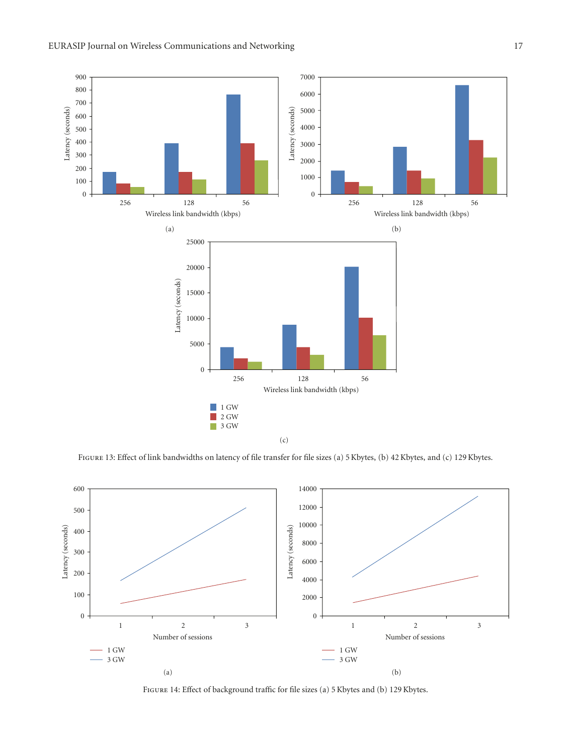

Figure 13: Effect of link bandwidths on latency of file transfer for file sizes (a) 5 Kbytes, (b) 42 Kbytes, and (c) 129 Kbytes.



Figure 14: Effect of background traffic for file sizes (a) 5 Kbytes and (b) 129 Kbytes.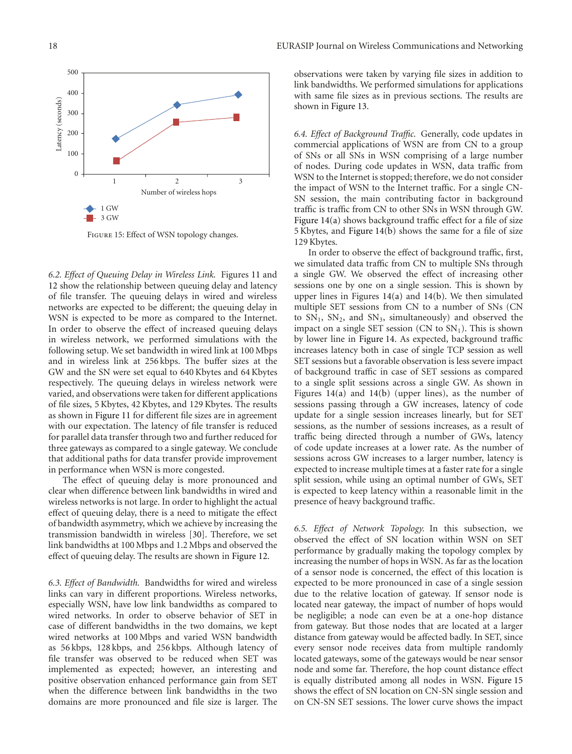

Figure 15: Effect of WSN topology changes.

*6.2. Effect of Queuing Delay in Wireless Link.* Figures 11 and 12 show the relationship between queuing delay and latency of file transfer. The queuing delays in wired and wireless networks are expected to be different; the queuing delay in WSN is expected to be more as compared to the Internet. In order to observe the effect of increased queuing delays in wireless network, we performed simulations with the following setup. We set bandwidth in wired link at 100 Mbps and in wireless link at 256 kbps. The buffer sizes at the GW and the SN were set equal to 640 Kbytes and 64 Kbytes respectively. The queuing delays in wireless network were varied, and observations were taken for different applications of file sizes, 5 Kbytes, 42 Kbytes, and 129 Kbytes. The results as shown in Figure 11 for different file sizes are in agreement with our expectation. The latency of file transfer is reduced for parallel data transfer through two and further reduced for three gateways as compared to a single gateway. We conclude that additional paths for data transfer provide improvement in performance when WSN is more congested.

The effect of queuing delay is more pronounced and clear when difference between link bandwidths in wired and wireless networks is not large. In order to highlight the actual effect of queuing delay, there is a need to mitigate the effect of bandwidth asymmetry, which we achieve by increasing the transmission bandwidth in wireless [30]. Therefore, we set link bandwidths at 100 Mbps and 1.2 Mbps and observed the effect of queuing delay. The results are shown in Figure 12.

*6.3. Effect of Bandwidth.* Bandwidths for wired and wireless links can vary in different proportions. Wireless networks, especially WSN, have low link bandwidths as compared to wired networks. In order to observe behavior of SET in case of different bandwidths in the two domains, we kept wired networks at 100 Mbps and varied WSN bandwidth as 56 kbps, 128 kbps, and 256 kbps. Although latency of file transfer was observed to be reduced when SET was implemented as expected; however, an interesting and positive observation enhanced performance gain from SET when the difference between link bandwidths in the two domains are more pronounced and file size is larger. The

observations were taken by varying file sizes in addition to link bandwidths. We performed simulations for applications with same file sizes as in previous sections. The results are shown in Figure 13.

*6.4. Effect of Background Traffic.* Generally, code updates in commercial applications of WSN are from CN to a group of SNs or all SNs in WSN comprising of a large number of nodes. During code updates in WSN, data traffic from WSN to the Internet is stopped; therefore, we do not consider the impact of WSN to the Internet traffic. For a single CN-SN session, the main contributing factor in background traffic is traffic from CN to other SNs in WSN through GW. Figure 14(a) shows background traffic effect for a file of size 5 Kbytes, and Figure 14(b) shows the same for a file of size 129 Kbytes.

In order to observe the effect of background traffic, first, we simulated data traffic from CN to multiple SNs through a single GW. We observed the effect of increasing other sessions one by one on a single session. This is shown by upper lines in Figures  $14(a)$  and  $14(b)$ . We then simulated multiple SET sessions from CN to a number of SNs (CN to  $SN_1$ ,  $SN_2$ , and  $SN_3$ , simultaneously) and observed the impact on a single SET session  $(CN \text{ to } SN_1)$ . This is shown by lower line in Figure 14. As expected, background traffic increases latency both in case of single TCP session as well SET sessions but a favorable observation is less severe impact of background traffic in case of SET sessions as compared to a single split sessions across a single GW. As shown in Figures 14(a) and 14(b) (upper lines), as the number of sessions passing through a GW increases, latency of code update for a single session increases linearly, but for SET sessions, as the number of sessions increases, as a result of traffic being directed through a number of GWs, latency of code update increases at a lower rate. As the number of sessions across GW increases to a larger number, latency is expected to increase multiple times at a faster rate for a single split session, while using an optimal number of GWs, SET is expected to keep latency within a reasonable limit in the presence of heavy background traffic.

*6.5. Effect of Network Topology.* In this subsection, we observed the effect of SN location within WSN on SET performance by gradually making the topology complex by increasing the number of hops in WSN. As far as the location of a sensor node is concerned, the effect of this location is expected to be more pronounced in case of a single session due to the relative location of gateway. If sensor node is located near gateway, the impact of number of hops would be negligible; a node can even be at a one-hop distance from gateway. But those nodes that are located at a larger distance from gateway would be affected badly. In SET, since every sensor node receives data from multiple randomly located gateways, some of the gateways would be near sensor node and some far. Therefore, the hop count distance effect is equally distributed among all nodes in WSN. Figure 15 shows the effect of SN location on CN-SN single session and on CN-SN SET sessions. The lower curve shows the impact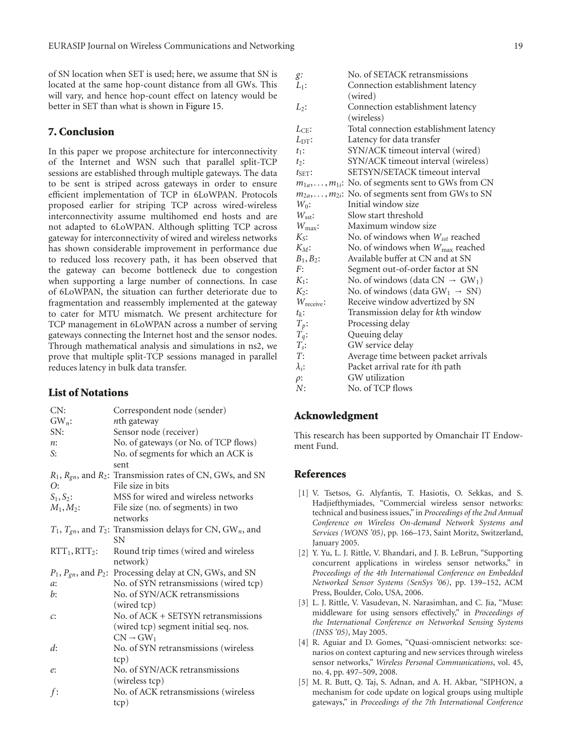of SN location when SET is used; here, we assume that SN is located at the same hop-count distance from all GWs. This will vary, and hence hop-count effect on latency would be better in SET than what is shown in Figure 15.

# **7. Conclusion**

In this paper we propose architecture for interconnectivity of the Internet and WSN such that parallel split-TCP sessions are established through multiple gateways. The data to be sent is striped across gateways in order to ensure efficient implementation of TCP in 6LoWPAN. Protocols proposed earlier for striping TCP across wired-wireless interconnectivity assume multihomed end hosts and are not adapted to 6LoWPAN. Although splitting TCP across gateway for interconnectivity of wired and wireless networks has shown considerable improvement in performance due to reduced loss recovery path, it has been observed that the gateway can become bottleneck due to congestion when supporting a large number of connections. In case of 6LoWPAN, the situation can further deteriorate due to fragmentation and reassembly implemented at the gateway to cater for MTU mismatch. We present architecture for TCP management in 6LoWPAN across a number of serving gateways connecting the Internet host and the sensor nodes. Through mathematical analysis and simulations in ns2, we prove that multiple split-TCP sessions managed in parallel reduces latency in bulk data transfer.

# **List of Notations**

| CN:              | Correspondent node (sender)                                                      |
|------------------|----------------------------------------------------------------------------------|
| $GW_n$ :         | nth gateway                                                                      |
| SN:              | Sensor node (receiver)                                                           |
| n:               | No. of gateways (or No. of TCP flows)                                            |
| S:               | No. of segments for which an ACK is                                              |
|                  | sent                                                                             |
|                  | $R_1$ , $R_{gn}$ , and $R_2$ : Transmission rates of CN, GWs, and SN             |
| О:               | File size in bits                                                                |
| $S_1, S_2$ :     | MSS for wired and wireless networks                                              |
| $M_1, M_2$ :     | File size (no. of segments) in two                                               |
|                  | networks                                                                         |
|                  | $T_1$ , $T_{gn}$ , and $T_2$ : Transmission delays for CN, GW <sub>n</sub> , and |
|                  | <b>SN</b>                                                                        |
| $RTT_1, RTT_2$ : | Round trip times (wired and wireless                                             |
|                  | network)                                                                         |
|                  | $P_1$ , $P_{gn}$ , and $P_2$ : Processing delay at CN, GWs, and SN               |
| $a$ :            | No. of SYN retransmissions (wired tcp)                                           |
| b:               | No. of SYN/ACK retransmissions                                                   |
|                  | (wired tcp)                                                                      |
| $\mathcal{C}$ :  | No. of ACK + SETSYN retransmissions                                              |
|                  | (wired tcp) segment initial seq. nos.                                            |
|                  | $CN \rightarrow GW_1$                                                            |
| $d$ :            | No. of SYN retransmissions (wireless                                             |
|                  | tcp)                                                                             |
| e:               | No. of SYN/ACK retransmissions                                                   |
|                  | (wireless tcp)                                                                   |
| $f$ :            | No. of ACK retransmissions (wireless                                             |
|                  | tcp)                                                                             |

| g:                     | No. of SETACK retransmissions                                  |
|------------------------|----------------------------------------------------------------|
| $L_1$ :                | Connection establishment latency                               |
|                        | (wired)                                                        |
| $L_2$ :                | Connection establishment latency                               |
|                        | (wireless)                                                     |
| $L_{CE}$ :             | Total connection establishment latency                         |
| $L_{\text{DT}}$ :      | Latency for data transfer                                      |
| $t_1$ :                | SYN/ACK timeout interval (wired)                               |
| $t_2$ :                | SYN/ACK timeout interval (wireless)                            |
| $t_{\text{SET}}$ :     | SETSYN/SETACK timeout interval                                 |
|                        | $m_{1a}, \ldots, m_{1i}$ : No. of segments sent to GWs from CN |
|                        | $m_{2a}, \ldots, m_{2i}$ : No. of segments sent from GWs to SN |
| $W_0$ :                | Initial window size                                            |
| $W_{\rm sst}$ :        | Slow start threshold                                           |
| $W_{\text{max}}$ :     | Maximum window size                                            |
| $K_S$ :                | No. of windows when $W_{sst}$ reached                          |
| $K_M$ :                | No. of windows when $W_{\text{max}}$ reached                   |
| $B_1, B_2$ :           | Available buffer at CN and at SN                               |
| F:                     | Segment out-of-order factor at SN                              |
| $K_1$ :                | No. of windows (data CN $\rightarrow$ GW <sub>1</sub> )        |
| $K_2$ :                | No. of windows (data GW <sub>1</sub> $\rightarrow$ SN)         |
| $W_{\text{receive}}$ : | Receive window advertized by SN                                |
| $t_k$ :                | Transmission delay for kth window                              |
| $T_p$ :                | Processing delay                                               |
| $T_q$ :                | Queuing delay                                                  |
| $T_s$ :                | GW service delay                                               |
| T:                     | Average time between packet arrivals                           |
| $\lambda_i$ :          | Packet arrival rate for <i>i</i> th path                       |
| $\rho$ :               | GW utilization                                                 |
| N:                     | No. of TCP flows                                               |

### **Acknowledgment**

This research has been supported by Omanchair IT Endowment Fund.

#### **References**

- [1] V. Tsetsos, G. Alyfantis, T. Hasiotis, O. Sekkas, and S. Hadjiefthymiades, "Commercial wireless sensor networks: technical and business issues," in *Proceedings of the 2nd Annual Conference on Wireless On-demand Network Systems and Services (WONS '05)*, pp. 166–173, Saint Moritz, Switzerland, January 2005.
- [2] Y. Yu, L. J. Rittle, V. Bhandari, and J. B. LeBrun, "Supporting concurrent applications in wireless sensor networks," in *Proceedings of the 4th International Conference on Embedded Networked Sensor Systems (SenSys '06)*, pp. 139–152, ACM Press, Boulder, Colo, USA, 2006.
- [3] L. J. Rittle, V. Vasudevan, N. Narasimhan, and C. Jia, "Muse: middleware for using sensors effectively," in *Proceedings of the International Conference on Networked Sensing Systems (INSS '05)*, May 2005.
- [4] R. Aguiar and D. Gomes, "Quasi-omniscient networks: scenarios on context capturing and new services through wireless sensor networks," *Wireless Personal Communications*, vol. 45, no. 4, pp. 497–509, 2008.
- [5] M. R. Butt, Q. Taj, S. Adnan, and A. H. Akbar, "SIPHON, a mechanism for code update on logical groups using multiple gateways," in *Proceedings of the 7th International Conference*